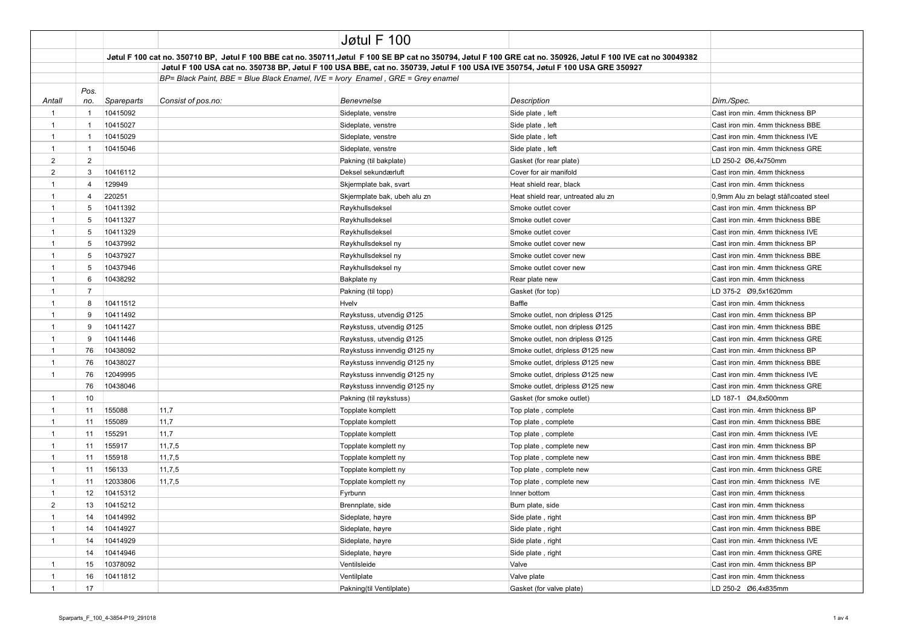|                |                         |            |                                                                                                                                | Jøtul F 100                                                                     |                                                                                                                                                                |                                       |
|----------------|-------------------------|------------|--------------------------------------------------------------------------------------------------------------------------------|---------------------------------------------------------------------------------|----------------------------------------------------------------------------------------------------------------------------------------------------------------|---------------------------------------|
|                |                         |            |                                                                                                                                |                                                                                 | Jøtul F 100 cat no. 350710 BP, Jøtul F 100 BBE cat no. 350711,Jøtul F 100 SE BP cat no 350794, Jøtul F 100 GRE cat no. 350926, Jøtul F 100 IVE cat no 30049382 |                                       |
|                |                         |            | Jøtul F 100 USA cat no. 350738 BP, Jøtul F 100 USA BBE, cat no. 350739, Jøtul F 100 USA IVE 350754, Jøtul F 100 USA GRE 350927 |                                                                                 |                                                                                                                                                                |                                       |
|                |                         |            |                                                                                                                                | BP= Black Paint, BBE = Blue Black Enamel, IVE = Ivory Enamel, GRE = Grey enamel |                                                                                                                                                                |                                       |
| Antall         | Pos.<br>no.             | Spareparts | Consist of pos.no:                                                                                                             | Benevnelse                                                                      | <b>Description</b>                                                                                                                                             | Dim./Spec.                            |
| $\mathbf{1}$   | $\overline{1}$          | 10415092   |                                                                                                                                | Sideplate, venstre                                                              | Side plate, left                                                                                                                                               | Cast iron min. 4mm thickness BP       |
| $\mathbf{1}$   | $\mathbf{1}$            | 10415027   |                                                                                                                                | Sideplate, venstre                                                              | Side plate, left                                                                                                                                               | Cast iron min. 4mm thickness BBE      |
| $\mathbf{1}$   | $\overline{1}$          | 10415029   |                                                                                                                                | Sideplate, venstre                                                              | Side plate, left                                                                                                                                               | Cast iron min. 4mm thickness IVE      |
| $\mathbf{1}$   | $\mathbf{1}$            | 10415046   |                                                                                                                                | Sideplate, venstre                                                              | Side plate, left                                                                                                                                               | Cast iron min. 4mm thickness GRE      |
| $\overline{2}$ | $\overline{2}$          |            |                                                                                                                                | Pakning (til bakplate)                                                          | Gasket (for rear plate)                                                                                                                                        | LD 250-2 Ø6,4x750mm                   |
| $\overline{2}$ | 3                       | 10416112   |                                                                                                                                | Deksel sekundærluft                                                             | Cover for air manifold                                                                                                                                         | Cast iron min. 4mm thickness          |
| $\mathbf{1}$   | $\overline{\mathbf{A}}$ | 129949     |                                                                                                                                | Skjermplate bak, svart                                                          | Heat shield rear, black                                                                                                                                        | Cast iron min, 4mm thickness          |
| $\mathbf{1}$   | $\overline{4}$          | 220251     |                                                                                                                                | Skjermplate bak, ubeh alu zn                                                    | Heat shield rear, untreated alu zn                                                                                                                             | 0,9mm Alu zn belagt stål\coated steel |
| $\mathbf{1}$   | 5                       | 10411392   |                                                                                                                                | Røykhullsdeksel                                                                 | Smoke outlet cover                                                                                                                                             | Cast iron min. 4mm thickness BP       |
| $\mathbf{1}$   | 5                       | 10411327   |                                                                                                                                | Røykhullsdeksel                                                                 | Smoke outlet cover                                                                                                                                             | Cast iron min. 4mm thickness BBE      |
| $\mathbf{1}$   | 5                       | 10411329   |                                                                                                                                | Røykhullsdeksel                                                                 | Smoke outlet cover                                                                                                                                             | Cast iron min. 4mm thickness IVE      |
| $\mathbf{1}$   | 5                       | 10437992   |                                                                                                                                | Røykhullsdeksel ny                                                              | Smoke outlet cover new                                                                                                                                         | Cast iron min. 4mm thickness BP       |
| $\mathbf{1}$   | 5                       | 10437927   |                                                                                                                                | Røykhullsdeksel ny                                                              | Smoke outlet cover new                                                                                                                                         | Cast iron min. 4mm thickness BBE      |
| $\mathbf{1}$   | 5                       | 10437946   |                                                                                                                                | Røykhullsdeksel ny                                                              | Smoke outlet cover new                                                                                                                                         | Cast iron min. 4mm thickness GRE      |
| $\mathbf{1}$   | 6                       | 10438292   |                                                                                                                                | Bakplate ny                                                                     | Rear plate new                                                                                                                                                 | Cast iron min. 4mm thickness          |
| $\mathbf{1}$   | $\overline{7}$          |            |                                                                                                                                | Pakning (til topp)                                                              | Gasket (for top)                                                                                                                                               |                                       |
| $\mathbf{1}$   | 8                       | 10411512   |                                                                                                                                | Hvelv                                                                           | Baffle                                                                                                                                                         | Cast iron min. 4mm thickness          |
| $\mathbf{1}$   | 9                       | 10411492   |                                                                                                                                | Røykstuss, utvendig Ø125                                                        | Smoke outlet, non dripless Ø125                                                                                                                                | Cast iron min. 4mm thickness BP       |
| $\mathbf{1}$   | 9                       | 10411427   |                                                                                                                                | Røykstuss, utvendig Ø125                                                        | Smoke outlet, non dripless Ø125                                                                                                                                | Cast iron min. 4mm thickness BBE      |
| $\mathbf{1}$   | 9                       | 10411446   |                                                                                                                                | Røykstuss, utvendig Ø125                                                        | Smoke outlet, non dripless Ø125                                                                                                                                | Cast iron min. 4mm thickness GRE      |
| $\mathbf{1}$   | 76                      | 10438092   |                                                                                                                                | Røykstuss innvendig Ø125 ny                                                     | Smoke outlet, dripless Ø125 new                                                                                                                                | Cast iron min. 4mm thickness BP       |
| $\mathbf{1}$   | 76                      | 10438027   |                                                                                                                                | Røykstuss innvendig Ø125 ny                                                     | Smoke outlet, dripless Ø125 new                                                                                                                                | Cast iron min. 4mm thickness BBE      |
| $\mathbf{1}$   | 76                      | 12049995   |                                                                                                                                | Røykstuss innvendig Ø125 ny                                                     | Smoke outlet, dripless Ø125 new                                                                                                                                | Cast iron min. 4mm thickness IVE      |
|                | 76                      | 10438046   |                                                                                                                                | Røykstuss innvendig Ø125 ny                                                     | Smoke outlet, dripless Ø125 new                                                                                                                                | Cast iron min. 4mm thickness GRE      |
| $\mathbf{1}$   | 10                      |            |                                                                                                                                | Pakning (til røykstuss)                                                         | Gasket (for smoke outlet)                                                                                                                                      | LD 187-1 Ø4,8x500mm                   |
| $\mathbf{1}$   | 11                      | 155088     | 11,7                                                                                                                           | Topplate komplett                                                               | Top plate, complete                                                                                                                                            | Cast iron min. 4mm thickness BP       |
| $\mathbf{1}$   | 11                      | 155089     | 11,7                                                                                                                           | Topplate komplett                                                               | Top plate, complete                                                                                                                                            | Cast iron min. 4mm thickness BBE      |
| $\mathbf{1}$   | 11                      | 155291     | 11,7                                                                                                                           | Topplate komplett                                                               | Top plate, complete                                                                                                                                            | Cast iron min. 4mm thickness IVE      |
| $\mathbf{1}$   | 11                      | 155917     | 11,7,5                                                                                                                         | Topplate komplett ny                                                            | Top plate, complete new                                                                                                                                        | Cast iron min. 4mm thickness BP       |
| $\mathbf{1}$   | 11                      | 155918     | 11,7,5                                                                                                                         | Topplate komplett ny                                                            | Top plate, complete new                                                                                                                                        | Cast iron min. 4mm thickness BBE      |
| $\mathbf{1}$   | 11                      | 156133     | 11,7,5                                                                                                                         | Topplate komplett ny                                                            | Top plate, complete new                                                                                                                                        | Cast iron min. 4mm thickness GRE      |
| $\mathbf{1}$   | 11                      | 12033806   | 11,7,5                                                                                                                         | Topplate komplett ny                                                            | Top plate, complete new                                                                                                                                        | Cast iron min. 4mm thickness IVE      |
| $\mathbf{1}$   | 12                      | 10415312   |                                                                                                                                | Fyrbunn                                                                         | Inner bottom                                                                                                                                                   | Cast iron min. 4mm thickness          |
| $\overline{2}$ | 13                      | 10415212   |                                                                                                                                | Brennplate, side                                                                | Burn plate, side                                                                                                                                               | Cast iron min. 4mm thickness          |
| $\mathbf{1}$   | 14                      | 10414992   |                                                                                                                                | Sideplate, høyre                                                                | Side plate, right                                                                                                                                              | Cast iron min. 4mm thickness BP       |
| $\mathbf{1}$   | 14                      | 10414927   |                                                                                                                                | Sideplate, høyre                                                                | Side plate, right                                                                                                                                              | Cast iron min. 4mm thickness BBE      |
| $\mathbf{1}$   | 14                      | 10414929   |                                                                                                                                | Sideplate, høyre                                                                | Side plate, right                                                                                                                                              | Cast iron min. 4mm thickness IVE      |
|                | 14                      | 10414946   |                                                                                                                                | Sideplate, høyre                                                                | Side plate, right                                                                                                                                              | Cast iron min. 4mm thickness GRE      |
| $\mathbf{1}$   | 15                      | 10378092   |                                                                                                                                | Ventilsleide                                                                    | Valve                                                                                                                                                          | Cast iron min. 4mm thickness BP       |
| $\mathbf{1}$   | 16                      | 10411812   |                                                                                                                                | Ventilplate                                                                     | Valve plate                                                                                                                                                    | Cast iron min. 4mm thickness          |
| $\overline{1}$ | 17                      |            |                                                                                                                                | Pakning(til Ventilplate)                                                        | Gasket (for valve plate)                                                                                                                                       | LD 250-2 Ø6,4x835mm                   |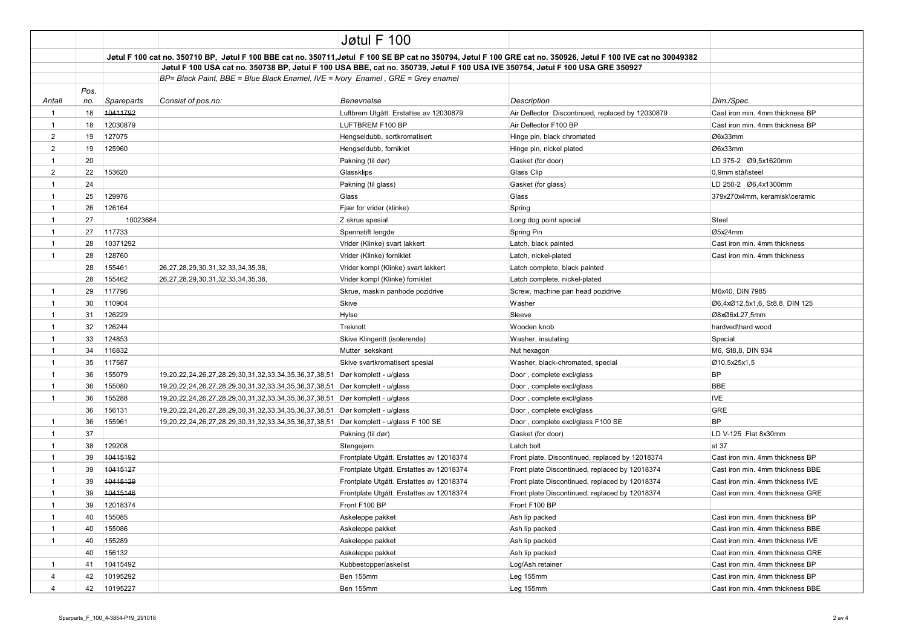|                |             |                                                                                                                                                                 |                                                       | Jøtul F 100                              |                                                  |                                  |
|----------------|-------------|-----------------------------------------------------------------------------------------------------------------------------------------------------------------|-------------------------------------------------------|------------------------------------------|--------------------------------------------------|----------------------------------|
|                |             | Jøtul F 100 cat no. 350710 BP, Jøtul F 100 BBE cat no. 350711, Jøtul F 100 SE BP cat no 350794, Jøtul F 100 GRE cat no. 350926, Jøtul F 100 IVE cat no 30049382 |                                                       |                                          |                                                  |                                  |
|                |             |                                                                                                                                                                 |                                                       |                                          |                                                  |                                  |
|                |             |                                                                                                                                                                 |                                                       |                                          |                                                  |                                  |
| Antall         | Pos.<br>no. | Spareparts                                                                                                                                                      | Consist of pos.no:                                    | <b>Benevnelse</b>                        | Description                                      | Dim./Spec.                       |
| $\mathbf{1}$   | 18          | 10411792                                                                                                                                                        |                                                       | Luftbrem Utgått. Erstattes av 12030879   | Air Deflector Discontinued, replaced by 12030879 | Cast iron min. 4mm thickness BP  |
| $\mathbf{1}$   | 18          | 12030879                                                                                                                                                        |                                                       | LUFTBREM F100 BP                         | Air Deflector F100 BP                            | Cast iron min. 4mm thickness BP  |
| 2              | 19          | 127075                                                                                                                                                          |                                                       | Hengseldubb, sortkromatisert             | Hinge pin, black chromated                       | Ø6x33mm                          |
| $\overline{2}$ | 19          | 125960                                                                                                                                                          |                                                       | Hengseldubb, forniklet                   | Hinge pin, nickel plated                         | Ø6x33mm                          |
| $\mathbf{1}$   | 20          |                                                                                                                                                                 |                                                       | Pakning (til dør)                        | Gasket (for door)                                |                                  |
| $\overline{2}$ | 22          | 153620                                                                                                                                                          |                                                       | Glassklips                               | Glass Clip                                       | 0.9mm stål\steel                 |
| $\mathbf{1}$   | 24          |                                                                                                                                                                 |                                                       | Pakning (til glass)                      | Gasket (for glass)                               | LD 250-2 Ø6.4x1300mm             |
| $\mathbf{1}$   | 25          | 129976                                                                                                                                                          |                                                       | Glass                                    | Glass                                            | 379x270x4mm, keramisk\ceramic    |
| $\mathbf{1}$   | 26          | 126164                                                                                                                                                          |                                                       | Fjær for vrider (klinke)                 | Spring                                           |                                  |
| $\mathbf{1}$   | 27          | 10023684                                                                                                                                                        |                                                       | Z skrue spesial                          | Long dog point special                           | Steel                            |
| $\mathbf{1}$   | 27          | 117733                                                                                                                                                          |                                                       | Spennstift lengde                        | Spring Pin                                       | Ø5x24mm                          |
| $\mathbf{1}$   | 28          | 10371292                                                                                                                                                        |                                                       | Vrider (Klinke) svart lakkert            | Latch, black painted                             | Cast iron min. 4mm thickness     |
| $\mathbf{1}$   | 28          | 128760                                                                                                                                                          |                                                       | Vrider (Klinke) forniklet                | Latch, nickel-plated                             | Cast iron min. 4mm thickness     |
|                | 28          | 155461                                                                                                                                                          | 26,27,28,29,30,31,32,33,34,35,38,                     | Vrider kompl (Klinke) svart lakkert      | Latch complete, black painted                    |                                  |
|                | 28          | 155462                                                                                                                                                          | 26,27,28,29,30,31,32,33,34,35,38,                     | Vrider kompl (Klinke) forniklet          | Latch complete, nickel-plated                    |                                  |
| $\mathbf{1}$   | 29          | 117796                                                                                                                                                          |                                                       | Skrue, maskin panhode pozidrive          | Screw, machine pan head pozidrive                | M6x40, DIN 7985                  |
| $\mathbf{1}$   | 30          | 110904                                                                                                                                                          |                                                       | Skive                                    | Washer                                           | Ø6,4xØ12,5x1,6, St8,8, DIN 125   |
| $\mathbf{1}$   | 31          | 126229                                                                                                                                                          |                                                       | Hylse                                    | Sleeve                                           | Ø8xØ6xL27,5mm                    |
| $\mathbf{1}$   | 32          | 126244                                                                                                                                                          |                                                       | Treknott                                 | Wooden knob                                      | hardved\hard wood                |
| $\mathbf{1}$   | 33          | 124853                                                                                                                                                          |                                                       | Skive Klingeritt (isolerende)            | Washer, insulating                               | Special                          |
| $\mathbf{1}$   | 34          | 116832                                                                                                                                                          |                                                       | Mutter sekskant                          | Nut hexagon                                      | M6, St8,8, DIN 934               |
| $\mathbf{1}$   | 35          | 117587                                                                                                                                                          |                                                       | Skive svartkromatisert spesial           | Washer, black-chromated, special                 | Ø10,5x25x1,5                     |
| $\mathbf{1}$   | 36          | 155079                                                                                                                                                          | 19,20,22,24,26,27,28,29,30,31,32,33,34,35,36,37,38,51 | Dør komplett - u/glass                   | Door, complete excl/glass                        | <b>BP</b>                        |
| $\mathbf{1}$   | 36          | 155080                                                                                                                                                          | 19,20,22,24,26,27,28,29,30,31,32,33,34,35,36,37,38,51 | Dør komplett - u/glass                   | Door, complete excl/glass                        | <b>BBE</b>                       |
| $\mathbf{1}$   | 36          | 155288                                                                                                                                                          | 19,20,22,24,26,27,28,29,30,31,32,33,34,35,36,37,38,51 | Dør komplett - u/glass                   | Door, complete excl/glass                        | <b>IVE</b>                       |
|                | 36          | 156131                                                                                                                                                          | 19,20,22,24,26,27,28,29,30,31,32,33,34,35,36,37,38,51 | Dør komplett - u/glass                   | Door, complete excl/glass                        | <b>GRE</b>                       |
| 1              | 36          | 155961                                                                                                                                                          | 19,20,22,24,26,27,28,29,30,31,32,33,34,35,36,37,38,51 | Dør komplett - u/glass F 100 SE          | Door, complete excl/glass F100 SE                | <b>BP</b>                        |
| $\mathbf{1}$   | 37          |                                                                                                                                                                 |                                                       | Pakning (til dør)                        | Gasket (for door)                                | LD V-125 Flat 8x30mm             |
| $\mathbf{1}$   | 38          | 129208                                                                                                                                                          |                                                       | Stengejern                               | Latch bolt                                       | st 37                            |
| $\mathbf{1}$   | 39          | 10415192                                                                                                                                                        |                                                       | Frontplate Utgått. Erstattes av 12018374 | Front plate. Discontinued, replaced by 12018374  | Cast iron min. 4mm thickness BP  |
| $\mathbf{1}$   | 39          | 10415127                                                                                                                                                        |                                                       | Frontplate Utgått. Erstattes av 12018374 | Front plate Discontinued, replaced by 12018374   | Cast iron min. 4mm thickness BBE |
| $\mathbf{1}$   | 39          | 10415129                                                                                                                                                        |                                                       | Frontplate Utgått. Erstattes av 12018374 | Front plate Discontinued, replaced by 12018374   | Cast iron min. 4mm thickness IVE |
| $\mathbf{1}$   | 39          | 10415146                                                                                                                                                        |                                                       | Frontplate Utgått. Erstattes av 12018374 | Front plate Discontinued, replaced by 12018374   | Cast iron min. 4mm thickness GRE |
| 1              | 39          | 12018374                                                                                                                                                        |                                                       | Front F100 BP                            | Front F100 BP                                    |                                  |
| $\mathbf{1}$   | 40          | 155085                                                                                                                                                          |                                                       | Askeleppe pakket                         | Ash lip packed                                   | Cast iron min. 4mm thickness BP  |
| $\mathbf{1}$   | 40          | 155086                                                                                                                                                          |                                                       | Askeleppe pakket                         | Ash lip packed                                   | Cast iron min. 4mm thickness BBE |
| $\mathbf{1}$   | 40          | 155289                                                                                                                                                          |                                                       | Askeleppe pakket                         | Ash lip packed                                   | Cast iron min. 4mm thickness IVE |
|                | 40          | 156132                                                                                                                                                          |                                                       | Askeleppe pakket                         | Ash lip packed                                   | Cast iron min. 4mm thickness GRE |
| $\mathbf{1}$   | 41          | 10415492                                                                                                                                                        |                                                       | Kubbestopper/askelist                    | Log/Ash retainer                                 | Cast iron min. 4mm thickness BP  |
| $\overline{4}$ | 42          | 10195292                                                                                                                                                        |                                                       | Ben 155mm                                | Leg 155mm                                        | Cast iron min. 4mm thickness BP  |
| 4              | 42          | 10195227                                                                                                                                                        |                                                       | Ben 155mm                                | Leg 155mm                                        | Cast iron min. 4mm thickness BBE |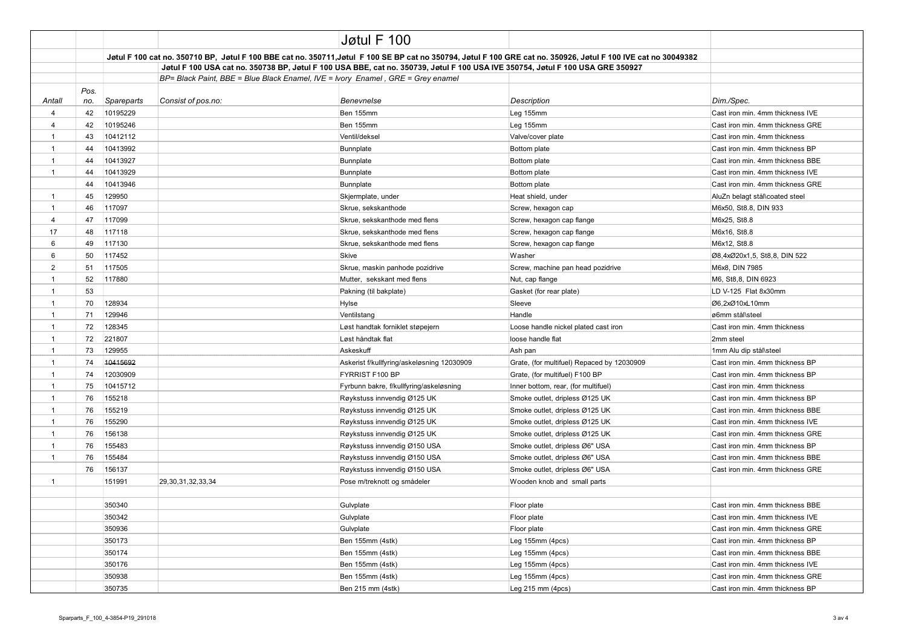|                |             |                                                                                                                                                                 |                                                                                 | Jøtul F 100                                |                                            |                                  |
|----------------|-------------|-----------------------------------------------------------------------------------------------------------------------------------------------------------------|---------------------------------------------------------------------------------|--------------------------------------------|--------------------------------------------|----------------------------------|
|                |             | Jøtul F 100 cat no. 350710 BP, Jøtul F 100 BBE cat no. 350711, Jøtul F 100 SE BP cat no 350794, Jøtul F 100 GRE cat no. 350926, Jøtul F 100 IVE cat no 30049382 |                                                                                 |                                            |                                            |                                  |
|                |             | Jøtul F 100 USA cat no. 350738 BP, Jøtul F 100 USA BBE, cat no. 350739, Jøtul F 100 USA IVE 350754, Jøtul F 100 USA GRE 350927                                  |                                                                                 |                                            |                                            |                                  |
|                |             |                                                                                                                                                                 | BP= Black Paint, BBE = Blue Black Enamel, IVE = Ivory Enamel, GRE = Grey enamel |                                            |                                            |                                  |
| Antall         | Pos.<br>no. | Spareparts                                                                                                                                                      | Consist of pos.no:                                                              | Benevnelse                                 | <b>Description</b>                         | Dim./Spec.                       |
| $\overline{4}$ | 42          | 10195229                                                                                                                                                        |                                                                                 | Ben 155mm                                  | Leg 155mm                                  | Cast iron min. 4mm thickness IVE |
| 4              | 42          | 10195246                                                                                                                                                        |                                                                                 | Ben 155mm                                  | Leg 155mm                                  | Cast iron min. 4mm thickness GRE |
| $\mathbf 1$    | 43          | 10412112                                                                                                                                                        |                                                                                 | Ventil/deksel                              | Valve/cover plate                          | Cast iron min. 4mm thickness     |
| $\mathbf{1}$   | 44          | 10413992                                                                                                                                                        |                                                                                 | Bunnplate                                  | Bottom plate                               | Cast iron min. 4mm thickness BP  |
| $\mathbf{1}$   | 44          | 10413927                                                                                                                                                        |                                                                                 | Bunnplate                                  | Bottom plate                               | Cast iron min. 4mm thickness BBE |
| $\mathbf{1}$   | 44          | 10413929                                                                                                                                                        |                                                                                 | Bunnplate                                  | Bottom plate                               | Cast iron min. 4mm thickness IVE |
|                | 44          | 10413946                                                                                                                                                        |                                                                                 | Bunnplate                                  | Bottom plate                               | Cast iron min. 4mm thickness GRE |
| $\mathbf{1}$   | 45          | 129950                                                                                                                                                          |                                                                                 | Skjermplate, under                         | Heat shield, under                         | AluZn belagt stål\coated steel   |
| $\mathbf{1}$   | 46          | 117097                                                                                                                                                          |                                                                                 | Skrue, sekskanthode                        | Screw, hexagon cap                         | M6x50, St8.8, DIN 933            |
| 4              | 47          | 117099                                                                                                                                                          |                                                                                 | Skrue, sekskanthode med flens              | Screw, hexagon cap flange                  | M6x25, St8.8                     |
| 17             | 48          | 117118                                                                                                                                                          |                                                                                 | Skrue, sekskanthode med flens              | Screw, hexagon cap flange                  | M6x16, St8.8                     |
| 6              | 49          | 117130                                                                                                                                                          |                                                                                 | Skrue, sekskanthode med flens              | Screw, hexagon cap flange                  | M6x12, St8.8                     |
| 6              | 50          | 117452                                                                                                                                                          |                                                                                 | Skive                                      | Washer                                     | Ø8,4xØ20x1,5, St8,8, DIN 522     |
| 2              | 51          | 117505                                                                                                                                                          |                                                                                 | Skrue, maskin panhode pozidrive            | Screw, machine pan head pozidrive          | M6x8, DIN 7985                   |
| $\mathbf{1}$   | 52          | 117880                                                                                                                                                          |                                                                                 | Mutter, sekskant med flens                 | Nut, cap flange                            | M6, St8,8, DIN 6923              |
| $\mathbf{1}$   | 53          |                                                                                                                                                                 |                                                                                 | Pakning (til bakplate)                     | Gasket (for rear plate)                    | LD V-125 Flat 8x30mm             |
| $\mathbf{1}$   | 70          | 128934                                                                                                                                                          |                                                                                 | Hylse                                      | Sleeve                                     | Ø6,2xØ10xL10mm                   |
| $\mathbf{1}$   | 71          | 129946                                                                                                                                                          |                                                                                 | Ventilstang                                | Handle                                     | ø6mm stål\steel                  |
| $\mathbf{1}$   | 72          | 128345                                                                                                                                                          |                                                                                 | Løst handtak forniklet støpejern           | Loose handle nickel plated cast iron       | Cast iron min. 4mm thickness     |
| $\mathbf{1}$   | 72          | 221807                                                                                                                                                          |                                                                                 | Løst håndtak flat                          | loose handle flat                          | 2mm steel                        |
| $\mathbf{1}$   | 73          | 129955                                                                                                                                                          |                                                                                 | Askeskuff                                  | Ash pan                                    | 1mm Alu dip stål\steel           |
| $\mathbf{1}$   | 74          | 10415692                                                                                                                                                        |                                                                                 | Askerist f/kullfyring/askeløsning 12030909 | Grate, (for multifuel) Repaced by 12030909 | Cast iron min. 4mm thickness BP  |
| $\mathbf{1}$   | 74          | 12030909                                                                                                                                                        |                                                                                 | FYRRIST F100 BP                            | Grate, (for multifuel) F100 BP             | Cast iron min. 4mm thickness BP  |
| $\mathbf{1}$   | 75          | 10415712                                                                                                                                                        |                                                                                 | Fyrbunn bakre, f/kullfyring/askeløsning    | Inner bottom, rear, (for multifuel)        | Cast iron min. 4mm thickness     |
| $\mathbf{1}$   | 76          | 155218                                                                                                                                                          |                                                                                 | Røykstuss innvendig Ø125 UK                | Smoke outlet, dripless Ø125 UK             | Cast iron min. 4mm thickness BP  |
| $\mathbf{1}$   | 76          | 155219                                                                                                                                                          |                                                                                 | Røykstuss innvendig Ø125 UK                | Smoke outlet, dripless Ø125 UK             | Cast iron min. 4mm thickness BBE |
| $\mathbf{1}$   | 76          | 155290                                                                                                                                                          |                                                                                 | Røykstuss innvendig Ø125 UK                | Smoke outlet, dripless Ø125 UK             | Cast iron min. 4mm thickness IVE |
| $\mathbf{1}$   | 76          | 156138                                                                                                                                                          |                                                                                 | Røykstuss innvendig Ø125 UK                | Smoke outlet, dripless Ø125 UK             | Cast iron min. 4mm thickness GRE |
| $\mathbf{1}$   | 76          | 155483                                                                                                                                                          |                                                                                 | Røykstuss innvendig Ø150 USA               | Smoke outlet, dripless Ø6" USA             | Cast iron min. 4mm thickness BP  |
| $\mathbf{1}$   | 76          | 155484                                                                                                                                                          |                                                                                 | Røykstuss innvendig Ø150 USA               | Smoke outlet, dripless Ø6" USA             | Cast iron min. 4mm thickness BBE |
|                | 76          | 156137                                                                                                                                                          |                                                                                 | Røykstuss innvendig Ø150 USA               | Smoke outlet, dripless Ø6" USA             | Cast iron min. 4mm thickness GRE |
| $\mathbf{1}$   |             | 151991                                                                                                                                                          | 29, 30, 31, 32, 33, 34                                                          | Pose m/treknott og smådeler                | Wooden knob and small parts                |                                  |
|                |             |                                                                                                                                                                 |                                                                                 |                                            |                                            |                                  |
|                |             | 350340                                                                                                                                                          |                                                                                 | Gulvplate                                  | Floor plate                                | Cast iron min. 4mm thickness BBE |
|                |             | 350342                                                                                                                                                          |                                                                                 | Gulvplate                                  | Floor plate                                | Cast iron min. 4mm thickness IVE |
|                |             | 350936                                                                                                                                                          |                                                                                 | Gulvplate                                  | Floor plate                                | Cast iron min. 4mm thickness GRE |
|                |             | 350173                                                                                                                                                          |                                                                                 | Ben 155mm (4stk)                           | Leg 155mm (4pcs)                           | Cast iron min. 4mm thickness BP  |
|                |             | 350174                                                                                                                                                          |                                                                                 | Ben 155mm (4stk)                           | Leg 155mm (4pcs)                           | Cast iron min. 4mm thickness BBE |
|                |             | 350176                                                                                                                                                          |                                                                                 | Ben 155mm (4stk)                           | Leg 155mm (4pcs)                           | Cast iron min. 4mm thickness IVE |
|                |             | 350938                                                                                                                                                          |                                                                                 | Ben 155mm (4stk)                           | Leg 155mm (4pcs)                           | Cast iron min. 4mm thickness GRE |
|                |             | 350735                                                                                                                                                          |                                                                                 | Ben 215 mm (4stk)                          | Leg 215 mm (4pcs)                          | Cast iron min. 4mm thickness BP  |